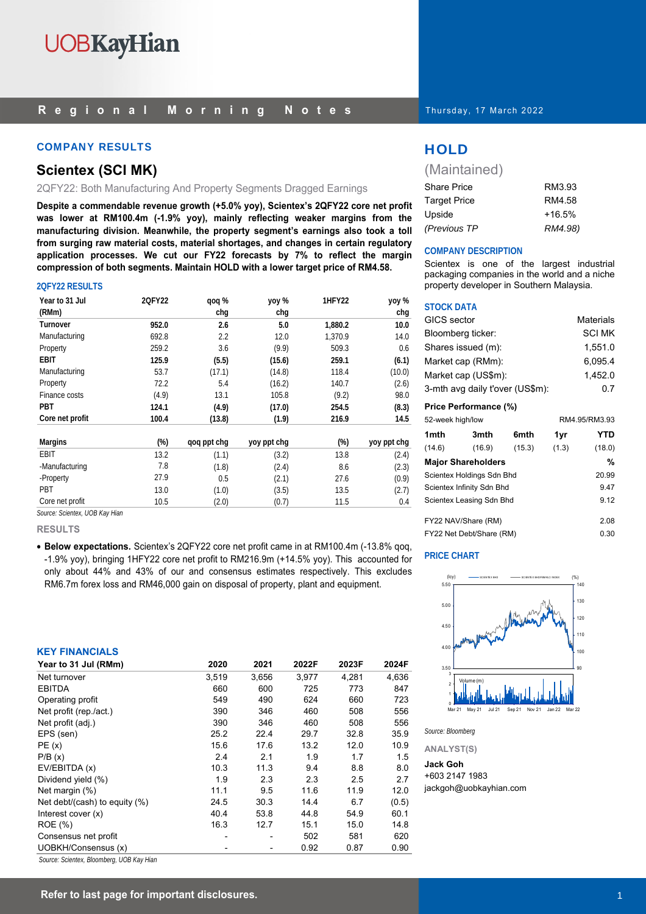#### COMPANY RESULTS AND RESULTS THAT IS A RESULT OF THE RESULTS OF THE RESULTS OF THE RESULTS OF THE RESULTS OF THE RESULTS OF THE RESULTS OF THE RESULTS OF THE RESULTS OF THE RESULTS OF THE RESULTS OF THE RESULTS OF THE RESUL

#### **Scientex (SCI MK)**

2QFY22: Both Manufacturing And Property Segments Dragged Earnings

**Despite a commendable revenue growth (+5.0% yoy), Scientex's 2QFY22 core net profit was lower at RM100.4m (-1.9% yoy), mainly reflecting weaker margins from the manufacturing division. Meanwhile, the property segment's earnings also took a toll from surging raw material costs, material shortages, and changes in certain regulatory application processes. We cut our FY22 forecasts by 7% to reflect the margin compression of both segments. Maintain HOLD with a lower target price of RM4.58.** 

#### **2QFY22 RESULTS**

| Year to 31 Jul  | 2QFY22 | qoq %       | yoy %       | 1HFY22  | yoy %       |
|-----------------|--------|-------------|-------------|---------|-------------|
| (RMm)           |        | chq         | chq         |         | chg         |
| <b>Turnover</b> | 952.0  | 2.6         | 5.0         | 1,880.2 | 10.0        |
| Manufacturing   | 692.8  | 2.2         | 12.0        | 1,370.9 | 14.0        |
| Property        | 259.2  | 3.6         | (9.9)       | 509.3   | 0.6         |
| EBIT            | 125.9  | (5.5)       | (15.6)      | 259.1   | (6.1)       |
| Manufacturing   | 53.7   | (17.1)      | (14.8)      | 118.4   | (10.0)      |
| Property        | 72.2   | 5.4         | (16.2)      | 140.7   | (2.6)       |
| Finance costs   | (4.9)  | 13.1        | 105.8       | (9.2)   | 98.0        |
| PBT             | 124.1  | (4.9)       | (17.0)      | 254.5   | (8.3)       |
| Core net profit | 100.4  | (13.8)      | (1.9)       | 216.9   | 14.5        |
| <b>Margins</b>  | $(\%)$ | qoq ppt chg | yoy ppt chg | $(\%)$  | yoy ppt chg |
| <b>EBIT</b>     | 13.2   | (1.1)       | (3.2)       | 13.8    | (2.4)       |
| -Manufacturing  | 7.8    | (1.8)       | (2.4)       | 8.6     | (2.3)       |
| -Property       | 27.9   | 0.5         | (2.1)       | 27.6    | (0.9)       |
| PBT             | 13.0   | (1.0)       | (3.5)       | 13.5    | (2.7)       |
| Core net profit | 10.5   | (2.0)       | (0.7)       | 11.5    | 0.4         |

*Source: Scientex, UOB Kay Hian* 

#### **RESULTS**

• **Below expectations.** Scientex's 2QFY22 core net profit came in at RM100.4m (-13.8% qoq, -1.9% yoy), bringing 1HFY22 core net profit to RM216.9m (+14.5% yoy). This accounted for only about 44% and 43% of our and consensus estimates respectively. This excludes RM6.7m forex loss and RM46,000 gain on disposal of property, plant and equipment.

#### **KEY FINANCIALS**

| Year to 31 Jul (RMm)          | 2020  | 2021  | 2022F | 2023F | 2024F |
|-------------------------------|-------|-------|-------|-------|-------|
| Net turnover                  | 3,519 | 3,656 | 3,977 | 4,281 | 4,636 |
| <b>EBITDA</b>                 | 660   | 600   | 725   | 773   | 847   |
| Operating profit              | 549   | 490   | 624   | 660   | 723   |
| Net profit (rep./act.)        | 390   | 346   | 460   | 508   | 556   |
| Net profit (adj.)             | 390   | 346   | 460   | 508   | 556   |
| EPS (sen)                     | 25.2  | 22.4  | 29.7  | 32.8  | 35.9  |
| PE(x)                         | 15.6  | 17.6  | 13.2  | 12.0  | 10.9  |
| P/B(x)                        | 2.4   | 2.1   | 1.9   | 1.7   | 1.5   |
| EV/EBITDA (x)                 | 10.3  | 11.3  | 9.4   | 8.8   | 8.0   |
| Dividend yield (%)            | 1.9   | 2.3   | 2.3   | 2.5   | 2.7   |
| Net margin (%)                | 11.1  | 9.5   | 11.6  | 11.9  | 12.0  |
| Net debt/(cash) to equity (%) | 24.5  | 30.3  | 14.4  | 6.7   | (0.5) |
| Interest cover $(x)$          | 40.4  | 53.8  | 44.8  | 54.9  | 60.1  |
| <b>ROE</b> (%)                | 16.3  | 12.7  | 15.1  | 15.0  | 14.8  |
| Consensus net profit          |       |       | 502   | 581   | 620   |
| UOBKH/Consensus (x)           |       |       | 0.92  | 0.87  | 0.90  |

*Source: Scientex, Bloomberg, UOB Kay Hian* 

Thursday, 17 March 2022

(Maintained)

| <b>Share Price</b>  | RM3.93   |
|---------------------|----------|
| <b>Target Price</b> | RM4.58   |
| Upside              | $+16.5%$ |
| (Previous TP        | RM4.98)  |

#### **COMPANY DESCRIPTION**

Scientex is one of the largest industrial packaging companies in the world and a niche property developer in Southern Malaysia.

#### **STOCK DATA**

| GICS sector                     |      |      |         | <b>Materials</b> |
|---------------------------------|------|------|---------|------------------|
| Bloomberg ticker:               |      |      |         | <b>SCI MK</b>    |
| Shares issued (m):              |      |      |         | 1.551.0          |
| Market cap (RMm):               |      |      |         | 6,095.4          |
| Market cap (US\$m):             |      |      | 1.452.0 |                  |
| 3-mth avg daily t'over (US\$m): |      |      | 0.7     |                  |
| Price Performance (%)           |      |      |         |                  |
| 52-week high/low                |      |      |         | RM4.95/RM3.93    |
| 1mth                            | 3mth | 6mth | 1vr     |                  |

| 1 <sub>mth</sub>          | 3mth                      | 6mth   | 1yr   | YTD    |
|---------------------------|---------------------------|--------|-------|--------|
| (14.6)                    | (16.9)                    | (15.3) | (1.3) | (18.0) |
|                           | <b>Major Shareholders</b> |        |       | %      |
|                           | Scientex Holdings Sdn Bhd |        |       | 20.99  |
| Scientex Infinity Sdn Bhd |                           |        | 9.47  |        |
|                           | Scientex Leasing Sdn Bhd  |        |       | 9.12   |
|                           |                           |        |       |        |
|                           | FY22 NAV/Share (RM)       |        |       | 2.08   |
|                           | FY22 Net Debt/Share (RM)  |        |       | 0.30   |

#### **PRICE CHART**



*Source: Bloomberg* 

**ANALYST(S)**

#### **Jack Goh**

+603 2147 1983 jackgoh@uobkayhian.com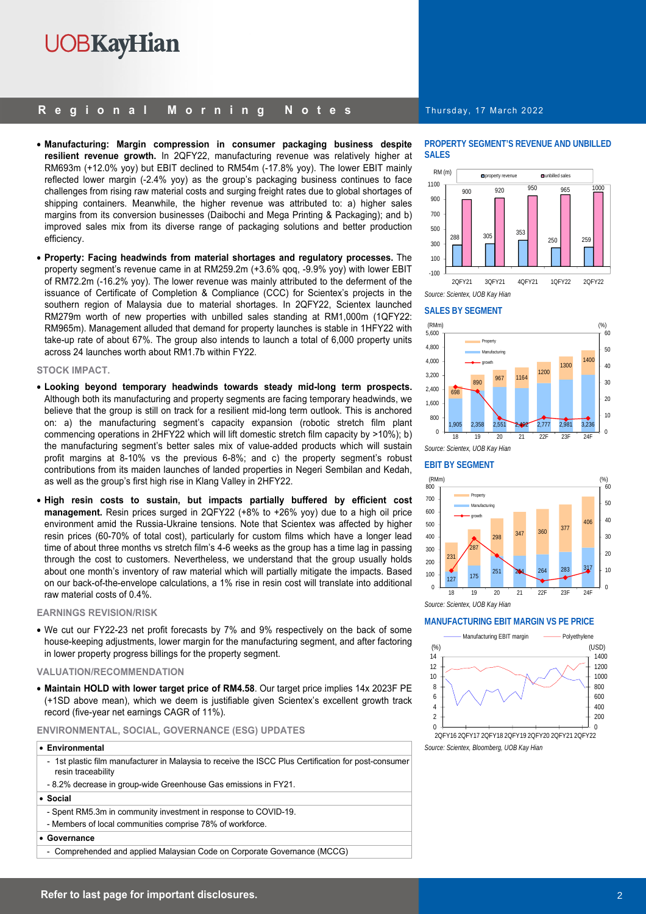#### **Regional Morning Notes**

- **Manufacturing: Margin compression in consumer packaging business despite resilient revenue growth.** In 2QFY22, manufacturing revenue was relatively higher at RM693m (+12.0% yoy) but EBIT declined to RM54m (-17.8% yoy). The lower EBIT mainly reflected lower margin (-2.4% yoy) as the group's packaging business continues to face challenges from rising raw material costs and surging freight rates due to global shortages of shipping containers. Meanwhile, the higher revenue was attributed to: a) higher sales margins from its conversion businesses (Daibochi and Mega Printing & Packaging); and b) improved sales mix from its diverse range of packaging solutions and better production efficiency.
- **Property: Facing headwinds from material shortages and regulatory processes.** The property segment's revenue came in at RM259.2m (+3.6% qoq, -9.9% yoy) with lower EBIT of RM72.2m (-16.2% yoy). The lower revenue was mainly attributed to the deferment of the issuance of Certificate of Completion & Compliance (CCC) for Scientex's projects in the southern region of Malaysia due to material shortages. In 2QFY22, Scientex launched RM279m worth of new properties with unbilled sales standing at RM1,000m (1QFY22: RM965m). Management alluded that demand for property launches is stable in 1HFY22 with take-up rate of about 67%. The group also intends to launch a total of 6,000 property units across 24 launches worth about RM1.7b within FY22.

#### **STOCK IMPACT.**

- **Looking beyond temporary headwinds towards steady mid-long term prospects.** Although both its manufacturing and property segments are facing temporary headwinds, we believe that the group is still on track for a resilient mid-long term outlook. This is anchored on: a) the manufacturing segment's capacity expansion (robotic stretch film plant commencing operations in 2HFY22 which will lift domestic stretch film capacity by >10%); b) the manufacturing segment's better sales mix of value-added products which will sustain profit margins at 8-10% vs the previous 6-8%; and c) the property segment's robust contributions from its maiden launches of landed properties in Negeri Sembilan and Kedah, as well as the group's first high rise in Klang Valley in 2HFY22.
- **High resin costs to sustain, but impacts partially buffered by efficient cost management.** Resin prices surged in 2QFY22 (+8% to +26% yoy) due to a high oil price environment amid the Russia-Ukraine tensions. Note that Scientex was affected by higher resin prices (60-70% of total cost), particularly for custom films which have a longer lead time of about three months vs stretch film's 4-6 weeks as the group has a time lag in passing through the cost to customers. Nevertheless, we understand that the group usually holds about one month's inventory of raw material which will partially mitigate the impacts. Based on our back-of-the-envelope calculations, a 1% rise in resin cost will translate into additional raw material costs of 0.4%.

#### **EARNINGS REVISION/RISK**

• We cut our FY22-23 net profit forecasts by 7% and 9% respectively on the back of some house-keeping adjustments, lower margin for the manufacturing segment, and after factoring in lower property progress billings for the property segment.

#### **VALUATION/RECOMMENDATION**

• **Maintain HOLD with lower target price of RM4.58**. Our target price implies 14x 2023F PE (+1SD above mean), which we deem is justifiable given Scientex's excellent growth track record (five-year net earnings CAGR of 11%).

#### **ENVIRONMENTAL, SOCIAL, GOVERNANCE (ESG) UPDATES**

#### • **Environmental**

- 1st plastic film manufacturer in Malaysia to receive the ISCC Plus Certification for post-consumer resin traceability
- 8.2% decrease in group-wide Greenhouse Gas emissions in FY21.

#### • **Social**

- Spent RM5.3m in community investment in response to COVID-19.
- Members of local communities comprise 78% of workforce.

• **Governance** 

- Comprehended and applied Malaysian Code on Corporate Governance (MCCG)

#### Thursday, 17 March 2022

#### **PROPERTY SEGMENT'S REVENUE AND UNBILLED SALES**



#### **SALES BY SEGMENT**



*Source: Scientex, UOB Kay Hian* 

#### **EBIT BY SEGMENT**



*Source: Scientex, UOB Kay Hian* 

#### **MANUFACTURING EBIT MARGIN VS PE PRICE**



*Source: Scientex, Bloomberg, UOB Kay Hian*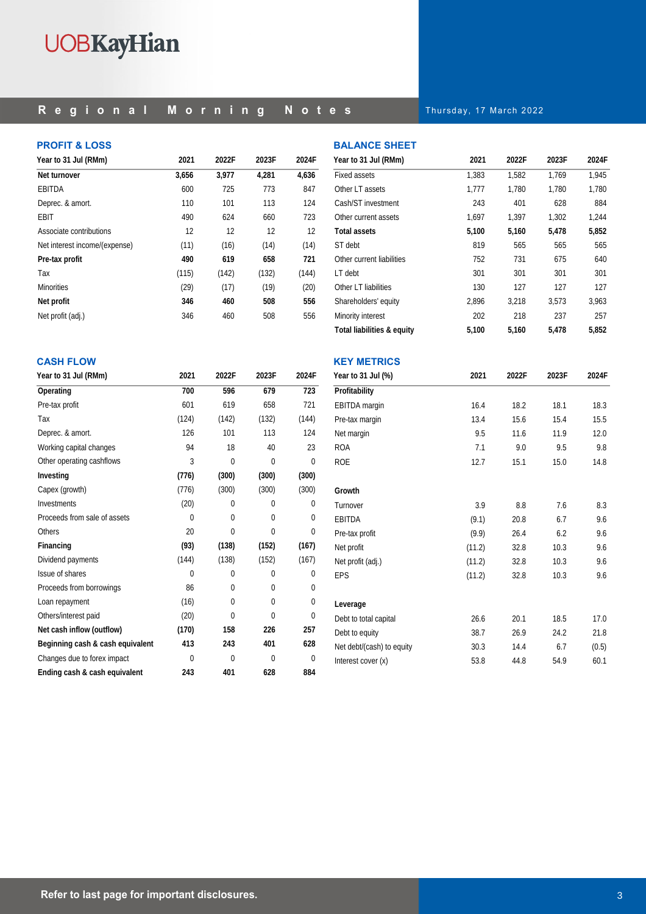### **Regional Morning Notes**

Thursday, 17 March 2022

#### **PROFIT & LOSS**

| Year to 31 Jul (RMm)          | 2021  | 2022F | 2023F | 2024F |
|-------------------------------|-------|-------|-------|-------|
| Net turnover                  | 3,656 | 3,977 | 4,281 | 4,636 |
| EBITDA                        | 600   | 725   | 773   | 847   |
| Deprec. & amort.              | 110   | 101   | 113   | 124   |
| EBIT                          | 490   | 624   | 660   | 723   |
| Associate contributions       | 12    | 12    | 12    | 12    |
| Net interest income/(expense) | (11)  | (16)  | (14)  | (14)  |
| Pre-tax profit                | 490   | 619   | 658   | 721   |
| Tax                           | (115) | (142) | (132) | (144) |
| <b>Minorities</b>             | (29)  | (17)  | (19)  | (20)  |
| Net profit                    | 346   | 460   | 508   | 556   |
| Net profit (adj.)             | 346   | 460   | 508   | 556   |

| <b>BALANCE SHEET</b>       |       |       |       |       |
|----------------------------|-------|-------|-------|-------|
| Year to 31 Jul (RMm)       | 2021  | 2022F | 2023F | 2024F |
| <b>Fixed assets</b>        | 1,383 | 1,582 | 1.769 | 1,945 |
| Other LT assets            | 1,777 | 1.780 | 1,780 | 1,780 |
| Cash/ST investment         | 243   | 401   | 628   | 884   |
| Other current assets       | 1,697 | 1,397 | 1,302 | 1,244 |
| <b>Total assets</b>        | 5,100 | 5,160 | 5,478 | 5,852 |
| ST debt                    | 819   | 565   | 565   | 565   |
| Other current liabilities  | 752   | 731   | 675   | 640   |
| LT debt                    | 301   | 301   | 301   | 301   |
| Other LT liabilities       | 130   | 127   | 127   | 127   |
| Shareholders' equity       | 2,896 | 3,218 | 3,573 | 3.963 |
| Minority interest          | 202   | 218   | 237   | 257   |
| Total liabilities & equity | 5,100 | 5,160 | 5.478 | 5.852 |

#### **CASH FLOW**

| Year to 31 Jul (RMm)             | 2021     | 2022F    | 2023F    | 2024F    |
|----------------------------------|----------|----------|----------|----------|
| Operating                        | 700      | 596      | 679      | 723      |
| Pre-tax profit                   | 601      | 619      | 658      | 721      |
| Tax                              | (124)    | (142)    | (132)    | (144)    |
| Deprec. & amort.                 | 126      | 101      | 113      | 124      |
| Working capital changes          | 94       | 18       | 40       | 23       |
| Other operating cashflows        | 3        | $\Omega$ | $\Omega$ | $\theta$ |
| Investing                        | (776)    | (300)    | (300)    | (300)    |
| Capex (growth)                   | (776)    | (300)    | (300)    | (300)    |
| Investments                      | (20)     | $\Omega$ | $\Omega$ | $\theta$ |
| Proceeds from sale of assets     | 0        | $\Omega$ | 0        | 0        |
| <b>Others</b>                    | 20       | $\Omega$ | $\Omega$ | $\Omega$ |
| Financing                        | (93)     | (138)    | (152)    | (167)    |
| Dividend payments                | (144)    | (138)    | (152)    | (167)    |
| Issue of shares                  | $\Omega$ | $\Omega$ | $\Omega$ | 0        |
| Proceeds from borrowings         | 86       | $\Omega$ | $\Omega$ | $\Omega$ |
| Loan repayment                   | (16)     | $\Omega$ | 0        | $\Omega$ |
| Others/interest paid             | (20)     | 0        | 0        | $\Omega$ |
| Net cash inflow (outflow)        | (170)    | 158      | 226      | 257      |
| Beginning cash & cash equivalent | 413      | 243      | 401      | 628      |
| Changes due to forex impact      | $\Omega$ | $\Omega$ | $\Omega$ | $\theta$ |
| Ending cash & cash equivalent    | 243      | 401      | 628      | 884      |

| <b>KEY METRICS</b>        |        |       |       |       |
|---------------------------|--------|-------|-------|-------|
| Year to 31 Jul (%)        | 2021   | 2022F | 2023F | 2024F |
| Profitability             |        |       |       |       |
| <b>EBITDA</b> margin      | 16.4   | 18.2  | 18.1  | 18.3  |
| Pre-tax margin            | 13.4   | 15.6  | 15.4  | 15.5  |
| Net margin                | 9.5    | 11.6  | 11.9  | 12.0  |
| <b>ROA</b>                | 7.1    | 9.0   | 9.5   | 9.8   |
| <b>ROE</b>                | 12.7   | 15.1  | 15.0  | 14.8  |
| Growth                    |        |       |       |       |
| Turnover                  | 3.9    | 8.8   | 7.6   | 8.3   |
| <b>EBITDA</b>             | (9.1)  | 20.8  | 6.7   | 9.6   |
| Pre-tax profit            | (9.9)  | 26.4  | 6.2   | 9.6   |
| Net profit                | (11.2) | 32.8  | 10.3  | 9.6   |
| Net profit (adj.)         | (11.2) | 32.8  | 10.3  | 9.6   |
| <b>EPS</b>                | (11.2) | 32.8  | 10.3  | 9.6   |
| Leverage                  |        |       |       |       |
| Debt to total capital     | 26.6   | 20.1  | 18.5  | 17.0  |
| Debt to equity            | 38.7   | 26.9  | 24.2  | 21.8  |
| Net debt/(cash) to equity | 30.3   | 14.4  | 6.7   | (0.5) |
| Interest cover (x)        | 53.8   | 44.8  | 54.9  | 60.1  |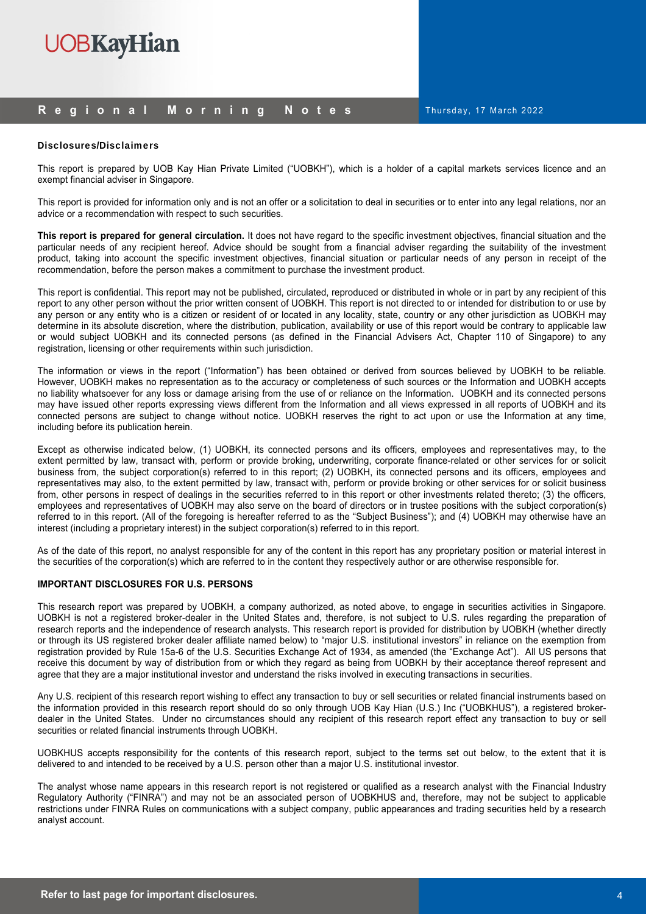#### **Regional Morning Notes**

Thursday, 17 March 2022

#### Disclosures/Disclaimers

This report is prepared by UOB Kay Hian Private Limited ("UOBKH"), which is a holder of a capital markets services licence and an exempt financial adviser in Singapore.

This report is provided for information only and is not an offer or a solicitation to deal in securities or to enter into any legal relations, nor an advice or a recommendation with respect to such securities.

**This report is prepared for general circulation.** It does not have regard to the specific investment objectives, financial situation and the particular needs of any recipient hereof. Advice should be sought from a financial adviser regarding the suitability of the investment product, taking into account the specific investment objectives, financial situation or particular needs of any person in receipt of the recommendation, before the person makes a commitment to purchase the investment product.

This report is confidential. This report may not be published, circulated, reproduced or distributed in whole or in part by any recipient of this report to any other person without the prior written consent of UOBKH. This report is not directed to or intended for distribution to or use by any person or any entity who is a citizen or resident of or located in any locality, state, country or any other jurisdiction as UOBKH may determine in its absolute discretion, where the distribution, publication, availability or use of this report would be contrary to applicable law or would subject UOBKH and its connected persons (as defined in the Financial Advisers Act, Chapter 110 of Singapore) to any registration, licensing or other requirements within such jurisdiction.

The information or views in the report ("Information") has been obtained or derived from sources believed by UOBKH to be reliable. However, UOBKH makes no representation as to the accuracy or completeness of such sources or the Information and UOBKH accepts no liability whatsoever for any loss or damage arising from the use of or reliance on the Information. UOBKH and its connected persons may have issued other reports expressing views different from the Information and all views expressed in all reports of UOBKH and its connected persons are subject to change without notice. UOBKH reserves the right to act upon or use the Information at any time, including before its publication herein.

Except as otherwise indicated below, (1) UOBKH, its connected persons and its officers, employees and representatives may, to the extent permitted by law, transact with, perform or provide broking, underwriting, corporate finance-related or other services for or solicit business from, the subject corporation(s) referred to in this report; (2) UOBKH, its connected persons and its officers, employees and representatives may also, to the extent permitted by law, transact with, perform or provide broking or other services for or solicit business from, other persons in respect of dealings in the securities referred to in this report or other investments related thereto; (3) the officers, employees and representatives of UOBKH may also serve on the board of directors or in trustee positions with the subject corporation(s) referred to in this report. (All of the foregoing is hereafter referred to as the "Subject Business"); and (4) UOBKH may otherwise have an interest (including a proprietary interest) in the subject corporation(s) referred to in this report.

As of the date of this report, no analyst responsible for any of the content in this report has any proprietary position or material interest in the securities of the corporation(s) which are referred to in the content they respectively author or are otherwise responsible for.

#### **IMPORTANT DISCLOSURES FOR U.S. PERSONS**

This research report was prepared by UOBKH, a company authorized, as noted above, to engage in securities activities in Singapore. UOBKH is not a registered broker-dealer in the United States and, therefore, is not subject to U.S. rules regarding the preparation of research reports and the independence of research analysts. This research report is provided for distribution by UOBKH (whether directly or through its US registered broker dealer affiliate named below) to "major U.S. institutional investors" in reliance on the exemption from registration provided by Rule 15a-6 of the U.S. Securities Exchange Act of 1934, as amended (the "Exchange Act"). All US persons that receive this document by way of distribution from or which they regard as being from UOBKH by their acceptance thereof represent and agree that they are a major institutional investor and understand the risks involved in executing transactions in securities.

Any U.S. recipient of this research report wishing to effect any transaction to buy or sell securities or related financial instruments based on the information provided in this research report should do so only through UOB Kay Hian (U.S.) Inc ("UOBKHUS"), a registered brokerdealer in the United States. Under no circumstances should any recipient of this research report effect any transaction to buy or sell securities or related financial instruments through UOBKH.

UOBKHUS accepts responsibility for the contents of this research report, subject to the terms set out below, to the extent that it is delivered to and intended to be received by a U.S. person other than a major U.S. institutional investor.

The analyst whose name appears in this research report is not registered or qualified as a research analyst with the Financial Industry Regulatory Authority ("FINRA") and may not be an associated person of UOBKHUS and, therefore, may not be subject to applicable restrictions under FINRA Rules on communications with a subject company, public appearances and trading securities held by a research analyst account.